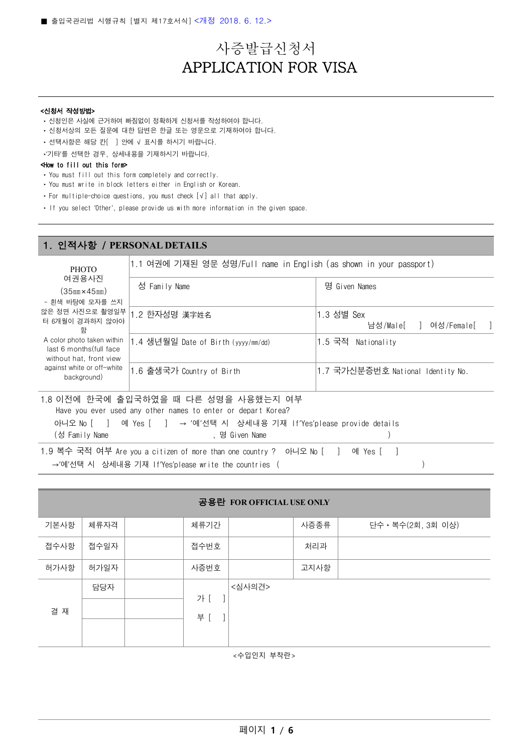# 사증발급신청서 APPLICATION FOR VISA

#### <신청서 작성방법>

- ‣ 신청인은 사실에 근거하여 빠짐없이 정확하게 신청서를 작성하여야 합니다.
- ‣ 신청서상의 모든 질문에 대한 답변은 한글 또는 영문으로 기재하여야 합니다.
- ‣ 선택사항은 해당 칸[ ] 안에 √ 표시를 하시기 바랍니다.
- ‣'기타'를 선택한 경우, 상세내용을 기재하시기 바랍니다.

#### <How to fill out this form>

- ‣ You must fill out this form completely and correctly.
- ‣ You must write in block letters either in English or Korean.
- ‣ For multiple-choice questions, you must check [√] all that apply.
- ‣ If you select 'Other', please provide us with more information in the given space.

#### 1. 인적사항 / **PERSONAL DETAILS**

**PHOTO** 여권용사진 (35㎜×45㎜) - 흰색 바탕에 모자를 쓰지 않은 정면 사진으로 촬영일부 터 6개월이 경과하지 않아야 함 A color photo taken within last 6 months(full face without hat, front view against white or off-white background) 1.1 여권에 기재된 영문 성명/Full name in English (as shown in your passport) 성 Family Name http://www.family.com/americal/state.com/americal/state.com/americal/state.com/americal/state.com/ 1.2 한자성명 漢字姓名 2000 000 0000 0000 0000 1.3 성별 Sex 남성/Male[ ] 여성/Female[ ] 1.4 생년월일 Date of Birth (yyyy/mm/dd) 1.5 국적 Nationality 1.6 출생국가 Country of Birth 1.7 국가신분증번호 National Identity No. 1.8 이전에 한국에 출입국하였을 때 다른 성명을 사용했는지 여부 Have you ever used any other names to enter or depart Korea? 아니오 No [ ] 예 Yes [ ] → '예'선택 시 상세내용 기재 If'Yes'please provide details (성 Family Name ) , 명 Given Name () , 명 Given Name () , 여러 기

1.9 복수 국적 여부 Are you a citizen of more than one country ? 아니오 No [ ] 예 Yes [ ] →'예'선택 시 상세내용 기재 If'Yes'please write the countries ( )

| 공용란 FOR OFFICIAL USE ONLY |      |  |      |        |      |                    |
|---------------------------|------|--|------|--------|------|--------------------|
| 기본사항                      | 체류자격 |  | 체류기간 |        | 사증종류 | 단수 · 복수(2회, 3회 이상) |
| 접수사항                      | 접수일자 |  | 접수번호 |        | 처리과  |                    |
| 허가사항                      | 허가일자 |  | 사증번호 |        | 고지사항 |                    |
|                           | 담당자  |  | 가 [  | <심사의견> |      |                    |
| 결 재                       |      |  | 부 [  |        |      |                    |

<수입인지 부착란>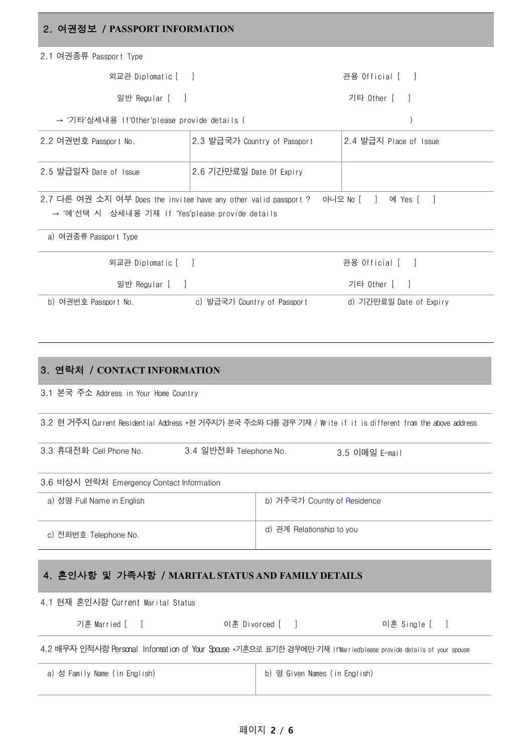## 2. 여권정보 / **PASSPORT INFORMATION**

| 2.1 여권종류 Passport Type                                                                                                                                                                    |                              |                 |                                                                                                                     |  |
|-------------------------------------------------------------------------------------------------------------------------------------------------------------------------------------------|------------------------------|-----------------|---------------------------------------------------------------------------------------------------------------------|--|
| 외교관 Diplomatic [ ]                                                                                                                                                                        |                              |                 | 관용 Official [ ]                                                                                                     |  |
| 일반 Regular [ ]                                                                                                                                                                            |                              |                 | 기타 Other [ ]                                                                                                        |  |
| → '기타'상세내용 If'Other'please provide details (                                                                                                                                              |                              |                 |                                                                                                                     |  |
| 2.2 여권번호 Passport No.                                                                                                                                                                     | 2.3 발급국가 Country of Passport |                 | 2.4 발급지 Place of Issue                                                                                              |  |
| 2.5 발급일자 Date of Issue                                                                                                                                                                    | 2.6 기간만료일 Date Of Expiry     |                 |                                                                                                                     |  |
| 2.7 다른 여권 소지 여부 Does the invitee have any other valid passport ? 아니오 No [ ] 예 Yes [<br>→ '예'선택 시 상세내용 기재 If 'Yes'please provide details                                                   |                              |                 | $\blacksquare$                                                                                                      |  |
| a) 여권종류 Passport Type                                                                                                                                                                     |                              |                 |                                                                                                                     |  |
| 외교관 Diplomatic [ ]                                                                                                                                                                        |                              |                 | 관용 Official [ ]                                                                                                     |  |
| 일반 Regular [ ]                                                                                                                                                                            |                              |                 | 기타 Other [ ]                                                                                                        |  |
| b) 여권번호 Passport No. (a) 발급국가 Country of Passport                                                                                                                                         |                              |                 | d) 기간만료일 Date of Expiry                                                                                             |  |
| 3. 연락처 / CONTACT INFORMATION<br>3.1 본국 주소 Address in Your Home Country<br>3.2 현 거주지 Current Residential Address *현 거주지가 본국 주소와 다를 경우 기재 / Write if it is different from the above address |                              |                 |                                                                                                                     |  |
| 3.3 휴대전화 Cell Phone No.<br>3.4 일반전화 Telephone No.<br>3.5 이메일 E-mail                                                                                                                       |                              |                 |                                                                                                                     |  |
| 3.6 비상시 연락처 Emergency Contact Information                                                                                                                                                 |                              |                 |                                                                                                                     |  |
| a) 성명 Full Name in English<br>b) 거주국가 Country of Residence                                                                                                                                |                              |                 |                                                                                                                     |  |
| c) 전화번호 Telephone No.                                                                                                                                                                     |                              |                 | d) 관계 Relationship to you                                                                                           |  |
| 4. 혼인사항 및 가족사항 / MARITAL STATUS AND FAMILY DETAILS                                                                                                                                        |                              |                 |                                                                                                                     |  |
| 4.1 현재 혼인사항 Current Marital Status                                                                                                                                                        |                              |                 |                                                                                                                     |  |
| 기혼 Married [ ]                                                                                                                                                                            |                              | 이혼 Divorced [ ] | 미혼 Single [ ]                                                                                                       |  |
|                                                                                                                                                                                           |                              |                 | 4.2 배우자 인적사항 Personal Information of Your Spouse *기혼으로 표기한 경우에만 기재 If Married'please provide details of your spouse |  |

a) 성 Family Name (in English) http://www.family Names (in English)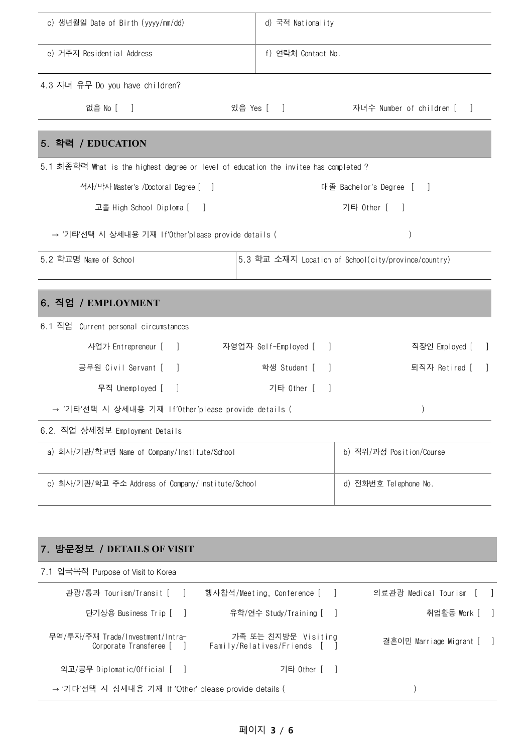| c) 생년월일 Date of Birth (yyyy/mm/dd)                                                    | d) 국적 Nationality                                 |                                                      |  |
|---------------------------------------------------------------------------------------|---------------------------------------------------|------------------------------------------------------|--|
| e) 거주지 Residential Address                                                            | f) 연락처 Contact No.                                |                                                      |  |
| 4.3 자녀 유무 Do you have children?                                                       |                                                   |                                                      |  |
| 없음 No [ ]                                                                             | 있음 Yes [ ]                                        | 자녀수 Number of children [ ]                           |  |
| 5. 학력 / EDUCATION                                                                     |                                                   |                                                      |  |
| 5.1 최종학력 What is the highest degree or level of education the invitee has completed ? |                                                   |                                                      |  |
| 석사/박사 Master's /Doctoral Degree [ ]                                                   |                                                   | 대졸 Bachelor's Degree [ ]                             |  |
| 고졸 High School Diploma [<br>$\Box$                                                    |                                                   | 기타 Other [<br>- 1                                    |  |
| → '기타'선택 시 상세내용 기재 If'0ther'please provide details (                                  |                                                   |                                                      |  |
| 5.2 학교명 Name of School                                                                |                                                   | 5.3 학교 소재지 Location of School(city/province/country) |  |
|                                                                                       |                                                   |                                                      |  |
| 6. 직업 / EMPLOYMENT                                                                    |                                                   |                                                      |  |
| 6.1 직업<br>Current personal circumstances                                              |                                                   |                                                      |  |
| 사업가 Entrepreneur [ ]                                                                  | 자영업자 Self-Employed [<br>$\overline{\phantom{a}}$  | 직장인 Employed [<br>$\perp$                            |  |
| 공무원 Civil Servant [<br>$\Box$                                                         | 학생 Student [                                      | 퇴직자 Retired [                                        |  |
| 무직 Unemployed [<br>- 1                                                                | 기타 Other [<br>-1                                  |                                                      |  |
| → '기타'선택 시 상세내용 기재 lf'Other'please provide details (                                  |                                                   |                                                      |  |
| 6.2. 직업 상세정보 Employment Details                                                       |                                                   |                                                      |  |
| a) 회사/기관/학교명 Name of Company/Institute/School                                         |                                                   | b) 직위/과정 Position/Course                             |  |
| c) 회사/기관/학교 주소 Address of Company/Institute/School                                    |                                                   | d) 전화번호 Telephone No.                                |  |
|                                                                                       |                                                   |                                                      |  |
| 7. 방문정보 / DETAILS OF VISIT                                                            |                                                   |                                                      |  |
| 7.1 입국목적 Purpose of Visit to Korea                                                    |                                                   |                                                      |  |
| 관광/통과 Tourism/Transit [<br>$\Box$                                                     | 행사참석/Meeting, Conference [                        | 의료관광 Medical Tourism [                               |  |
| 단기상용 Business Trip [<br>- 1                                                           | 유학/연수 Study/Training [                            | 취업활동 Work [                                          |  |
| 무역/투자/주재 Trade/Investment/Intra-<br>Corporate Transferee [<br>$\mathbf{I}$            | 가족 또는 친지방문 Visiting<br>Family/Relatives/Friends [ | 결혼이민 Marriage Migrant [                              |  |
| 외교/공무 Diplomatic/Official [                                                           | 기타 0ther [                                        |                                                      |  |
| → '기타'선택 시 상세내용 기재 If 'Other' please provide details (                                | $\mathcal{E}$                                     |                                                      |  |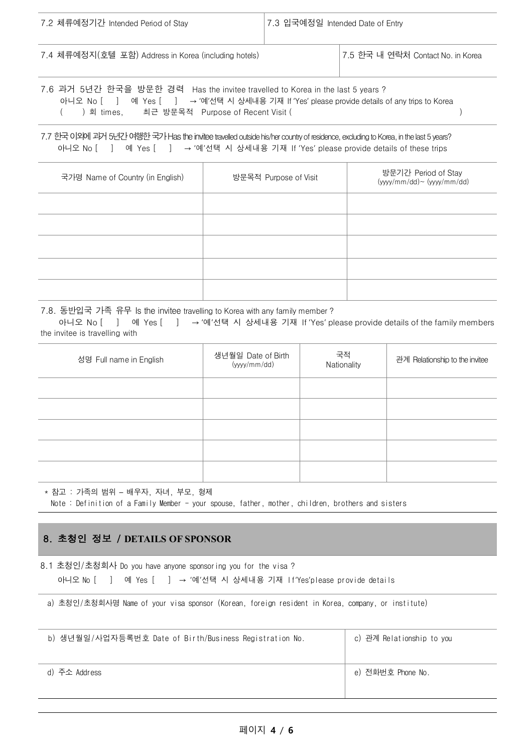| 7.2 체류예정기간 Intended Period of Stay                                                                                                                                                                                                   | 7.3 입국예정일 Intended Date of Entry |                                   |
|--------------------------------------------------------------------------------------------------------------------------------------------------------------------------------------------------------------------------------------|----------------------------------|-----------------------------------|
| 7.4 체류예정지(호텔 포함) Address in Korea (including hotels)                                                                                                                                                                                 |                                  | 7.5 한국 내 연락처 Contact No. in Korea |
| 7.6 과거 5년간 한국을 방문한 경력 Has the invitee travelled to Korea in the last 5 years ?<br>→ '예'선택 시 상세내용 기재 If 'Yes' please provide details of any trips to Korea<br>아니오 No [ ]<br>예 Yes [ ]<br>) 회 times. 최근 방문목적 Purpose of Recent Visit ( |                                  |                                   |

7.7 한국이외에과거5년간여행한국가Has the inviteetravelled outside his/her country of residence, excluding to Korea, in the last 5 years? 아니오 No [ ] 예 Yes [ ] → '예'선택 시 상세내용 기재 If 'Yes' please provide details of these trips

| 국가명 Name of Country (in English) | 방문목적 Purpose of Visit | 방문기간 Period of Stay<br>$(yyyy/mm/dd)$ ~ $(yyyy/mm/dd)$ |
|----------------------------------|-----------------------|--------------------------------------------------------|
|                                  |                       |                                                        |
|                                  |                       |                                                        |
|                                  |                       |                                                        |
|                                  |                       |                                                        |
|                                  |                       |                                                        |

7.8. 동반입국 가족 유무 Is the invitee travelling to Korea with any family member ?

아니오 No [ ] 예 Yes [ ] → '예'선택 시 상세내용 기재 If 'Yes' please provide details of the family members the invitee is travelling with

| 성명 Full name in English | 생년월일 Date of Birth<br>(yyyy/mm/dd) | 국적<br>Nationality | 관계 Relationship to the invitee |
|-------------------------|------------------------------------|-------------------|--------------------------------|
|                         |                                    |                   |                                |
|                         |                                    |                   |                                |
|                         |                                    |                   |                                |
|                         |                                    |                   |                                |
|                         |                                    |                   |                                |

\* 참고 : 가족의 범위 – 배우자, 자녀, 부모, 형제 Note : Definition of a Family Member - your spouse, father, mother, children, brothers and sisters

#### 8. 초청인 정보 / **DETAILS OF SPONSOR**

8.1 초청인/초청회사 Do you have anyone sponsoring you for the visa ? 아니오 No [ ] 예 Yes [ ] → '예'선택 시 상세내용 기재 If'Yes'please provide details

a) 초청인/초청회사명 Name of your visa sponsor (Korean, foreign resident in Korea, company, or institute)

| b) 생년월일/사업자등록번호 Date of Birth/Business Registration No. | c) 관계 Relationship to you |
|---------------------------------------------------------|---------------------------|
| d) 주소 Address                                           | e) 전화번호 Phone No.         |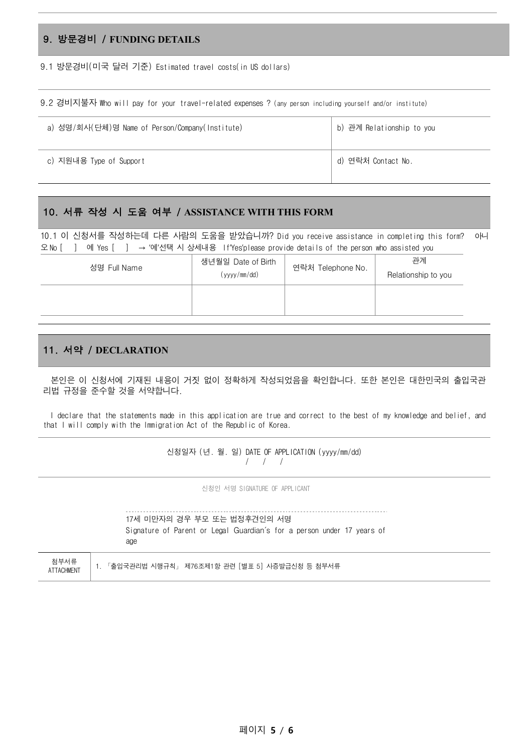## 9. 방문경비 / **FUNDING DETAILS**

9.1 방문경비(미국 달러 기준) Estimated travel costs(in US dollars)

9.2 경비지불자 Who will pay for your travel-related expenses ? (any person including yourself and/or institute)

| a) 성명/회사(단체)명 Name of Person/Company(Institute) | b) 관계 Relationship to you |
|-------------------------------------------------|---------------------------|
| c) 지원내용 Type of Support                         | d) 연락처 Contact No.        |

#### 10. 서류 작성 시 도움 여부 / **ASSISTANCE WITH THIS FORM**

10.1 이 신청서를 작성하는데 다른 사람의 도움을 받았습니까? Did you receive assistance in completing this form? 아니 오 No [ ] 예 Yes [ ] → '예'선택 시 상세내용 If'Yes'please provide details of the person who assisted you

| 성명 Full Name | 생년월일 Date of Birth | 연락처 Telephone No. | 관계                  |
|--------------|--------------------|-------------------|---------------------|
|              | (yyyy/mm/dd)       |                   | Relationship to you |
|              |                    |                   |                     |
|              |                    |                   |                     |

### 11. 서약 / **DECLARATION**

 본인은 이 신청서에 기재된 내용이 거짓 없이 정확하게 작성되었음을 확인합니다. 또한 본인은 대한민국의 출입국관 리법 규정을 준수할 것을 서약합니다.

 I declare that the statements made in this application are true and correct to the best of my knowledge and belief, and that I will comply with the Immigration Act of the Republic of Korea.

> 신청일자 (년. 월. 일) DATE OF APPLICATION (yyyy/mm/dd) / / /

> > 신청인 서명 SIGNATURE OF APPLICANT

|                           | 17세 미만자의 경우 부모 또는 법정후견인의 서명<br>Signature of Parent or Legal Guardian's for a person under 17 years of<br>age |
|---------------------------|--------------------------------------------------------------------------------------------------------------|
| 첨부서류<br><b>ATTACHMENT</b> | 「출입국관리법 시행규칙」 제76조제1항 관련 [별표 5] 시증발급신청 등 첨부서류                                                                |